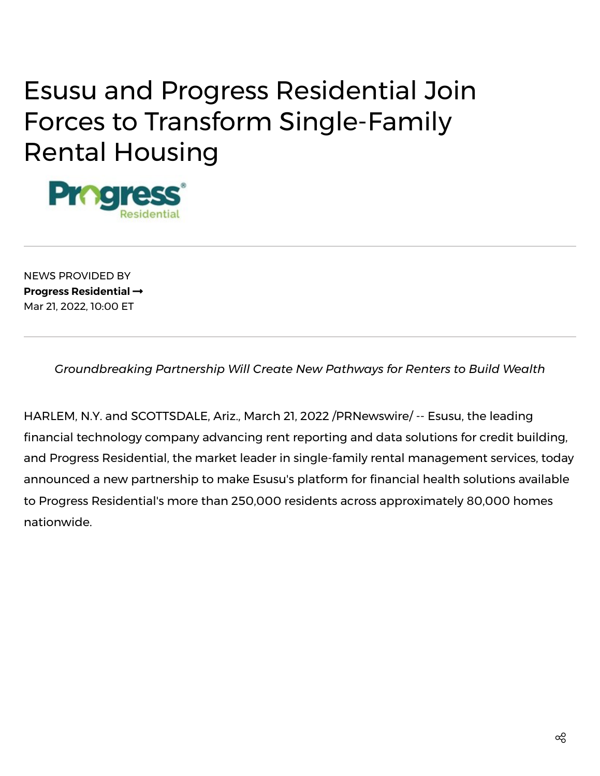# Esusu and Progress Residential Join Forces to Transform Single-Family Rental Housing



NEWS PROVIDED BY **Progress [Residential](https://www.prnewswire.com/news/progress-residential/)** Mar 21, 2022, 10:00 ET

*Groundbreaking Partnership Will Create New Pathways for Renters to Build Wealth*

HARLEM, N.Y. and SCOTTSDALE, Ariz., March 21, 2022 /PRNewswire/ -- [Esusu](https://c212.net/c/link/?t=0&l=en&o=3478337-1&h=105519944&u=https%3A%2F%2Fesusurent.com%2F&a=Esusu), the leading financial technology company advancing rent reporting and data solutions for credit building, and Progress [Residential](https://c212.net/c/link/?t=0&l=en&o=3478337-1&h=114886640&u=https%3A%2F%2Frentprogress.com%2F&a=Progress+Residential), the market leader in single-family rental management services, today announced a new partnership to make Esusu's platform for financial health solutions available to Progress Residential's more than 250,000 residents across approximately 80,000 homes nationwide.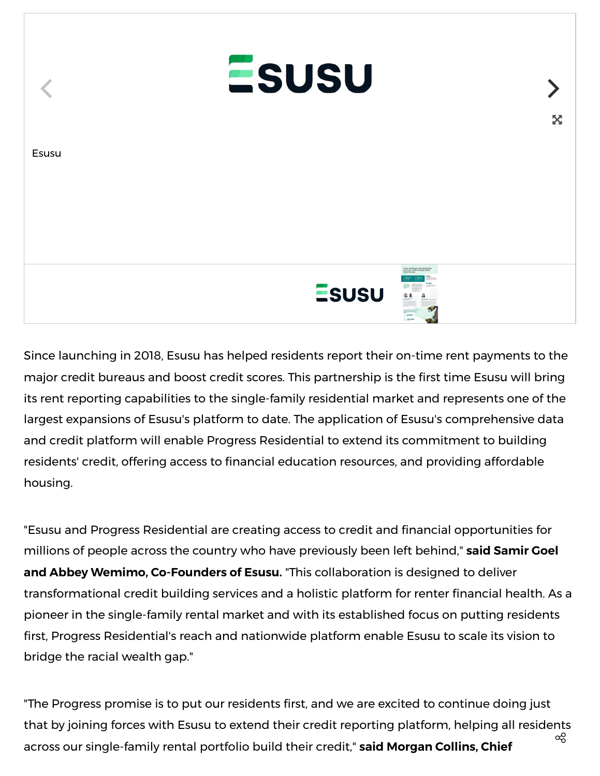

Since launching in 2018, Esusu has helped residents report their on-time rent payments to the major credit bureaus and boost credit scores. This partnership is the first time Esusu will bring its rent reporting capabilities to the single-family residential market and represents one of the largest expansions of Esusu's platform to date. The application of Esusu's comprehensive data and credit platform will enable Progress Residential to extend its commitment to building residents' credit, offering access to financial education resources, and providing affordable housing.

"Esusu and Progress Residential are creating access to credit and financial opportunities for millions of people across the country who have previously been left behind," **said Samir Goel and Abbey Wemimo, Co-Founders of Esusu.** "This collaboration is designed to deliver transformational credit building services and a holistic platform for renter financial health. As a pioneer in the single-family rental market and with its established focus on putting residents first, Progress Residential's reach and nationwide platform enable Esusu to scale its vision to bridge the racial wealth gap."

"The Progress promise is to put our residents first, and we are excited to continue doing just that by joining forces with Esusu to extend their credit reporting platform, helping all residents across our single-family rental portfolio build their credit," **said Morgan Collins, Chief** ထိ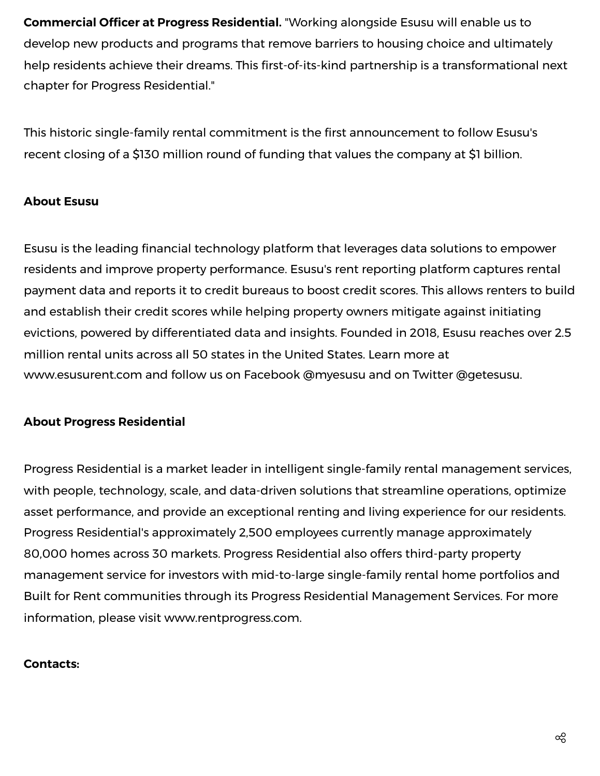**Commercial Officer at Progress Residential.** "Working alongside Esusu will enable us to develop new products and programs that remove barriers to housing choice and ultimately help residents achieve their dreams. This first-of-its-kind partnership is a transformational next chapter for Progress Residential."

This historic single-family rental commitment is the first announcement to follow Esusu's recent closing of a \$130 million round of funding that values the company at \$1 billion.

## **About Esusu**

Esusu is the leading financial technology platform that leverages data solutions to empower residents and improve property performance. Esusu's rent reporting platform captures rental payment data and reports it to credit bureaus to boost credit scores. This allows renters to build and establish their credit scores while helping property owners mitigate against initiating evictions, powered by differentiated data and insights. Founded in 2018, Esusu reaches over 2.5 million rental units across all 50 states in the United States. Learn more at [www.esusurent.com](https://c212.net/c/link/?t=0&l=en&o=3478337-1&h=1590810721&u=http%3A%2F%2Fwww.esusurent.com%2F&a=www.esusurent.com) and follow us on Facebook @myesusu and on Twitter @getesusu.

#### **About Progress Residential**

Progress Residential is a market leader in intelligent single-family rental management services, with people, technology, scale, and data-driven solutions that streamline operations, optimize asset performance, and provide an exceptional renting and living experience for our residents. Progress Residential's approximately 2,500 employees currently manage approximately 80,000 homes across 30 markets. Progress Residential also offers third-party property management service for investors with mid-to-large single-family rental home portfolios and Built for Rent communities through its Progress Residential Management Services. For more information, please visit [www.rentprogress.com.](https://c212.net/c/link/?t=0&l=en&o=3478337-1&h=294809224&u=http%3A%2F%2Fwww.rentprogress.com%2F&a=www.rentprogress.com)

#### **Contacts:**